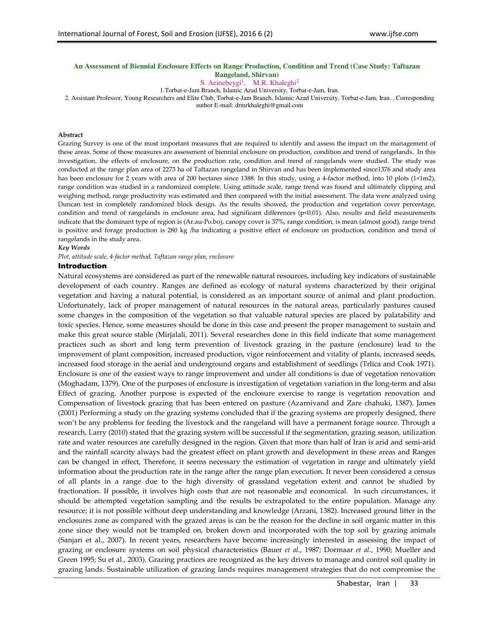# **An Assessment of Biennial Enclosure Effects on Range Production, Condition and Trend (Case Study: Taftazan Rangeland, Shirvan)**

S. Aeinebeygi<sup>1</sup>, M.R. Khaleghi<sup>2</sup>

1.Torbat-e-Jam Branch, Islamic Azad University, Torbat-e-Jam, Iran.

2. Assistant Professor, Young Researchers and Elite Club, Torbat-e-Jam Branch, Islamic Azad University, Torbat-e-Jam, Iran. , Corresponding

author E-mail: drmrkhaleghi@gmail.com

#### **Abstract**

Grazing Survey is one of the most important measures that are required to identify and assess the impact on the management of these areas. Some of these measures are assessment of biennial enclosure on production, condition and trend of rangelands. In this investigation, the effects of enclosure, on the production rate, condition and trend of rangelands were studied. The study was conducted at the range plan area of 2273 ha of Taftazan rangeland in Shirvan and has been implemented since1376 and study area has been enclosure for 2 years with area of 200 hectares since 1388. In this study, using a 4-factor method, into 10 plots (1×1m2), range condition was studied in a randomized complete. Using attitude scale, range trend was found and ultimately clipping and weighing method, range productivity was estimated and then compared with the initial assessment. The data were analyzed using Duncan test in completely randomized block design. As the results showed, the production and vegetation cover percentage, condition and trend of rangelands in enclosure area, had significant differences (p<0.01). Also, results and field measurements indicate that the dominant type of region is (Ar.au-Po.bo), canopy cover is 37%, range condition, is mean (almost good), range trend is positive and forage production is 280 kg /ha indicating a positive effect of enclosure on production, condition and trend of rangelands in the study area.

### *Key Words*

*Plot, attitude scale, 4-factor method, Taftazan range plan, enclosure* 

## Introduction

Natural ecosystems are considered as part of the renewable natural resources, including key indicators of sustainable development of each country. Ranges are defined as ecology of natural systems characterized by their original vegetation and having a natural potential, is considered as an important source of animal and plant production. Unfortunately, lack of proper management of natural resources in the natural areas, particularly pastures caused some changes in the composition of the vegetation so that valuable natural species are placed by palatability and toxic species. Hence, some measures should be done in this case and present the proper management to sustain and make this great source stable (Mirjalali, 2011). Several researches done in this field indicate that some management practices such as short and long term prevention of livestock grazing in the pasture (enclosure) lead to the improvement of plant composition, increased production, vigor reinforcement and vitality of plants, increased seeds, increased food storage in the aerial and underground organs and establishment of seedlings (Trlica and Cook 1971). Enclosure is one of the easiest ways to range improvement and under all conditions is due of vegetation renovation (Moghadam, 1379). One of the purposes of enclosure is investigation of vegetation variation in the long-term and also Effect of grazing. Another purpose is expected of the enclosure exercise to range is vegetation renovation and Compensation of livestock grazing that has been entered on pasture (Azarnivand and Zare chahuki, 1387). James (2001) Performing a study on the grazing systems concluded that if the grazing systems are properly designed, there won't be any problems for feeding the livestock and the rangeland will have a permanent forage source. Through a research, Larry (2010) stated that the grazing system will be successful if the segmentation, grazing season, utilization rate and water resources are carefully designed in the region. Given that more than half of Iran is arid and semi-arid and the rainfall scarcity always had the greatest effect on plant growth and development in these areas and Ranges can be changed in effect, Therefore, it seems necessary the estimation of vegetation in range and ultimately yield information about the production rate in the range after the range plan execution. It never been considered a census of all plants in a range due to the high diversity of grassland vegetation extent and cannot be studied by fractionation. If possible, it involves high costs that are not reasonable and economical. In such circumstances, it should be attempted vegetation sampling and the results be extrapolated to the entire population. Manage any resource; it is not possible without deep understanding and knowledge (Arzani, 1382). Increased ground litter in the enclosures zone as compared with the grazed areas is can be the reason for the decline in soil organic matter in this zone since they would not be trampled on, broken down and incorporated with the top soil by grazing animals (Sanjari et al., 2007). In recent years, researchers have become increasingly interested in assessing the impact of grazing or enclosure systems on soil physical characteristics (Bauer *et al*., 1987; Dormaar *et al*., 1990; Mueller and Green 1995; Su et al., 2003). Grazing practices are recognized as the key drivers to manage and control soil quality in grazing lands. Sustainable utilization of grazing lands requires management strategies that do not compromise the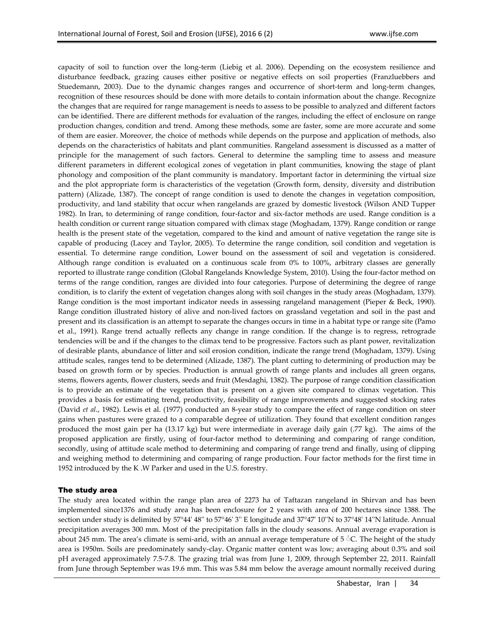capacity of soil to function over the long-term (Liebig et al. 2006). Depending on the ecosystem resilience and disturbance feedback, grazing causes either positive or negative effects on soil properties (Franzluebbers and Stuedemann, 2003). Due to the dynamic changes ranges and occurrence of short-term and long-term changes, recognition of these resources should be done with more details to contain information about the change. Recognize the changes that are required for range management is needs to assess to be possible to analyzed and different factors can be identified. There are different methods for evaluation of the ranges, including the effect of enclosure on range production changes, condition and trend. Among these methods, some are faster, some are more accurate and some of them are easier. Moreover, the choice of methods while depends on the purpose and application of methods, also depends on the characteristics of habitats and plant communities. Rangeland assessment is discussed as a matter of principle for the management of such factors. General to determine the sampling time to assess and measure different parameters in different ecological zones of vegetation in plant communities, knowing the stage of plant phonology and composition of the plant community is mandatory. Important factor in determining the virtual size and the plot appropriate form is characteristics of the vegetation (Growth form, density, diversity and distribution pattern) (Alizade, 1387). The concept of range condition is used to denote the changes in vegetation composition, productivity, and land stability that occur when rangelands are grazed by domestic livestock (Wilson AND Tupper 1982). In Iran, to determining of range condition, four-factor and six-factor methods are used. Range condition is a health condition or current range situation compared with climax stage (Moghadam, 1379). Range condition or range health is the present state of the vegetation, compared to the kind and amount of native vegetation the range site is capable of producing (Lacey and Taylor, 2005). To determine the range condition, soil condition and vegetation is essential. To determine range condition, Lower bound on the assessment of soil and vegetation is considered. Although range condition is evaluated on a continuous scale from 0% to 100%, arbitrary classes are generally reported to illustrate range condition (Global Rangelands Knowledge System, 2010). Using the four-factor method on terms of the range condition, ranges are divided into four categories. Purpose of determining the degree of range condition, is to clarify the extent of vegetation changes along with soil changes in the study areas (Moghadam, 1379). Range condition is the most important indicator needs in assessing rangeland management (Pieper & Beck, 1990). Range condition illustrated history of alive and non-lived factors on grassland vegetation and soil in the past and present and its classification is an attempt to separate the changes occurs in time in a habitat type or range site (Pamo et al., 1991). Range trend actually reflects any change in range condition. If the change is to regress, retrograde tendencies will be and if the changes to the climax tend to be progressive. Factors such as plant power, revitalization of desirable plants, abundance of litter and soil erosion condition, indicate the range trend (Moghadam, 1379). Using attitude scales, ranges tend to be determined (Alizade, 1387). The plant cutting to determining of production may be based on growth form or by species. Production is annual growth of range plants and includes all green organs, stems, flowers agents, flower clusters, seeds and fruit (Mesdaghi, 1382). The purpose of range condition classification is to provide an estimate of the vegetation that is present on a given site compared to climax vegetation. This provides a basis for estimating trend, productivity, feasibility of range improvements and suggested stocking rates (David *et al*., 1982). Lewis et al. (1977) conducted an 8-year study to compare the effect of range condition on steer gains when pastures were grazed to a comparable degree of utilization. They found that excellent condition ranges produced the most gain per ha (13.17 kg) but were intermediate in average daily gain (.77 kg). The aims of the proposed application are firstly, using of four-factor method to determining and comparing of range condition, secondly, using of attitude scale method to determining and comparing of range trend and finally, using of clipping and weighing method to determining and comparing of range production. Four factor methods for the first time in 1952 introduced by the K .W Parker and used in the U.S. forestry.

# The study area

The study area located within the range plan area of 2273 ha of Taftazan rangeland in Shirvan and has been implemented since1376 and study area has been enclosure for 2 years with area of 200 hectares since 1388. The section under study is delimited by 57°44' 48'' to 57°46' 3'' E longitude and 37°47' 10''N to 37°48' 14''N latitude. Annual precipitation averages 300 mm. Most of the precipitation falls in the cloudy seasons. Annual average evaporation is about 245 mm. The area's climate is semi-arid, with an annual average temperature of  $5 \text{ }^{\circ}$ C. The height of the study area is 1950m. Soils are predominately sandy-clay. Organic matter content was low; averaging about 0.3% and soil pH averaged approximately 7.5-7.8. The grazing trial was from June 1, 2009, through September 22, 2011. Rainfall from June through September was 19.6 mm. This was 5.84 mm below the average amount normally received during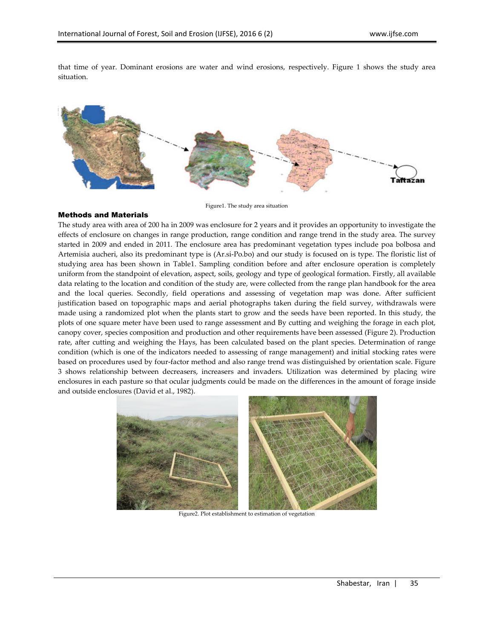that time of year. Dominant erosions are water and wind erosions, respectively. Figure 1 shows the study area situation.



Figure1. The study area situation

# Methods and Materials

The study area with area of 200 ha in 2009 was enclosure for 2 years and it provides an opportunity to investigate the effects of enclosure on changes in range production, range condition and range trend in the study area. The survey started in 2009 and ended in 2011. The enclosure area has predominant vegetation types include poa bolbosa and Artemisia aucheri, also its predominant type is (Ar.si-Po.bo) and our study is focused on is type. The floristic list of studying area has been shown in Table1. Sampling condition before and after enclosure operation is completely uniform from the standpoint of elevation, aspect, soils, geology and type of geological formation. Firstly, all available data relating to the location and condition of the study are, were collected from the range plan handbook for the area and the local queries. Secondly, field operations and assessing of vegetation map was done. After sufficient justification based on topographic maps and aerial photographs taken during the field survey, withdrawals were made using a randomized plot when the plants start to grow and the seeds have been reported. In this study, the plots of one square meter have been used to range assessment and By cutting and weighing the forage in each plot, canopy cover, species composition and production and other requirements have been assessed (Figure 2). Production rate, after cutting and weighing the Hays, has been calculated based on the plant species. Determination of range condition (which is one of the indicators needed to assessing of range management) and initial stocking rates were based on procedures used by four-factor method and also range trend was distinguished by orientation scale. Figure 3 shows relationship between decreasers, increasers and invaders. Utilization was determined by placing wire enclosures in each pasture so that ocular judgments could be made on the differences in the amount of forage inside and outside enclosures (David et al., 1982).



Figure2. Plot establishment to estimation of vegetation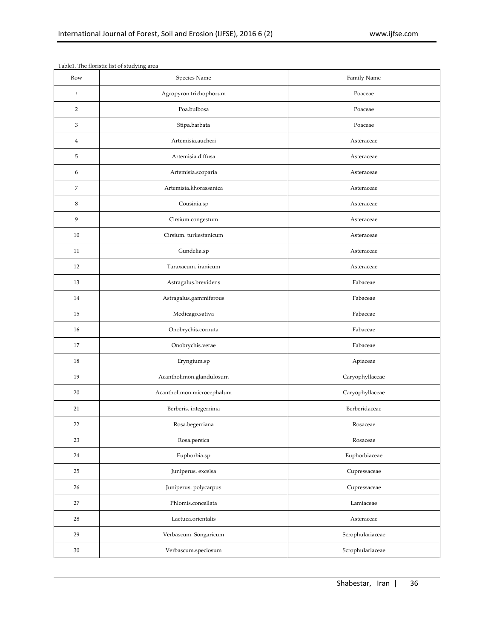| Row                       | Species Name               | Family Name      |
|---------------------------|----------------------------|------------------|
| $\lambda$                 | Agropyron trichophorum     | Poaceae          |
| $\sqrt{2}$                | Poa.bulbosa                | Poaceae          |
| $\ensuremath{\mathsf{3}}$ | Stipa.barbata              | Poaceae          |
| $\overline{4}$            | Artemisia.aucheri          | Asteraceae       |
| 5                         | Artemisia.diffusa          | Asteraceae       |
| 6                         | Artemisia.scoparia         | Asteraceae       |
| $\boldsymbol{7}$          | Artemisia.khorassanica     | Asteraceae       |
| $\,8\,$                   | Cousinia.sp                | Asteraceae       |
| 9                         | Cirsium.congestum          | Asteraceae       |
| 10                        | Cirsium. turkestanicum     | Asteraceae       |
| 11                        | Gundelia.sp                | Asteraceae       |
| 12                        | Taraxacum, iranicum        | Asteraceae       |
| 13                        | Astragalus.brevidens       | Fabaceae         |
| 14                        | Astragalus.gammiferous     | Fabaceae         |
| 15                        | Medicago.sativa            | Fabaceae         |
| 16                        | Onobrychis.cornuta         | Fabaceae         |
| 17                        | Onobrychis.verae           | Fabaceae         |
| 18                        | Eryngium.sp                | Apiaceae         |
| 19                        | Acantholimon.glandulosum   | Caryophyllaceae  |
| 20                        | Acantholimon.microcephalum | Caryophyllaceae  |
| 21                        | Berberis. integerrima      | Berberidaceae    |
| 22                        | Rosa.begerriana            | Rosaceae         |
| 23                        | Rosa.persica               | Rosaceae         |
| 24                        | Euphorbia.sp               | Euphorbiaceae    |
| 25                        | Juniperus. excelsa         | Cupressaceae     |
| 26                        | Juniperus. polycarpus      | Cupressaceae     |
| 27                        | Phlomis.concellata         | Lamiaceae        |
| 28                        | Lactuca.orientalis         | Asteraceae       |
| 29                        | Verbascum. Songaricum      | Scrophulariaceae |
| $30\,$                    | Verbascum.speciosum        | Scrophulariaceae |

Table1. The floristic list of studying area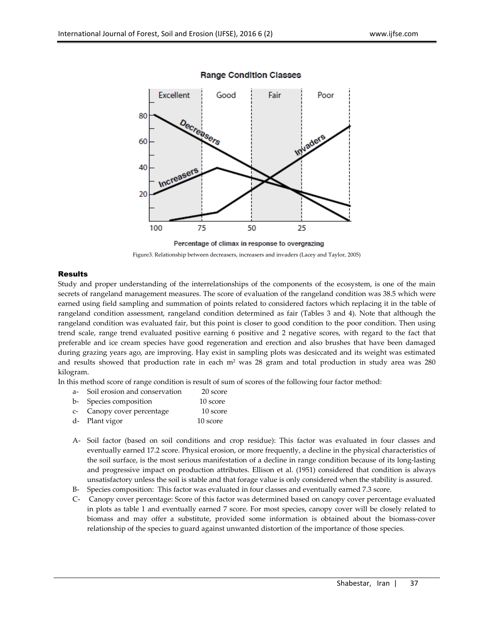

# **Range Condition Classes**



# Results

Study and proper understanding of the interrelationships of the components of the ecosystem, is one of the main secrets of rangeland management measures. The score of evaluation of the rangeland condition was 38.5 which were earned using field sampling and summation of points related to considered factors which replacing it in the table of rangeland condition assessment, rangeland condition determined as fair (Tables 3 and 4). Note that although the rangeland condition was evaluated fair, but this point is closer to good condition to the poor condition. Then using trend scale, range trend evaluated positive earning 6 positive and 2 negative scores, with regard to the fact that preferable and ice cream species have good regeneration and erection and also brushes that have been damaged during grazing years ago, are improving. Hay exist in sampling plots was desiccated and its weight was estimated and results showed that production rate in each  $m<sup>2</sup>$  was 28 gram and total production in study area was 280 kilogram.

In this method score of range condition is result of sum of scores of the following four factor method:

| a- Soil erosion and conservation | 20 score |
|----------------------------------|----------|
| b- Species composition           | 10 score |
| c- Canopy cover percentage       | 10 score |
| d- Plant vigor                   | 10 score |

- A- Soil factor (based on soil conditions and crop residue): This factor was evaluated in four classes and eventually earned 17.2 score. Physical erosion, or more frequently, a decline in the physical characteristics of the soil surface, is the most serious manifestation of a decline in range condition because of its long-lasting and progressive impact on production attributes. Ellison et al. (1951) considered that condition is always unsatisfactory unless the soil is stable and that forage value is only considered when the stability is assured.
- B- Species composition: This factor was evaluated in four classes and eventually earned 7.3 score.
- C- Canopy cover percentage: Score of this factor was determined based on canopy cover percentage evaluated in plots as table 1 and eventually earned 7 score. For most species, canopy cover will be closely related to biomass and may offer a substitute, provided some information is obtained about the biomass-cover relationship of the species to guard against unwanted distortion of the importance of those species.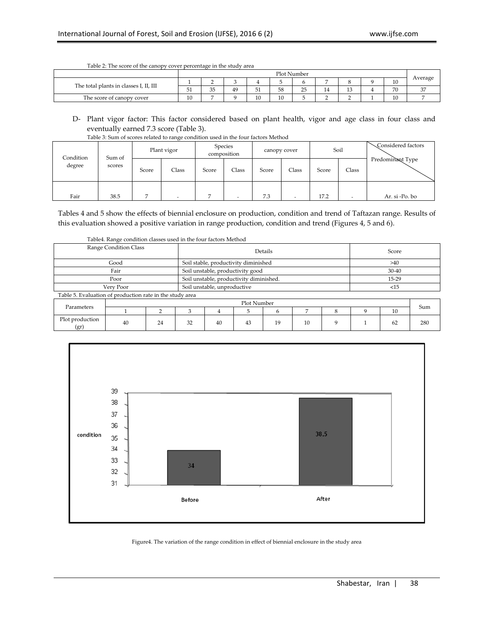|                                        |                  | Plot Number            |    |           |    |    |    |    |  |    |              |
|----------------------------------------|------------------|------------------------|----|-----------|----|----|----|----|--|----|--------------|
|                                        |                  |                        |    |           |    |    |    |    |  | 10 | Average      |
| The total plants in classes I, II, III | - -<br>Б.<br>-91 | $\sim$ $-$<br>- -<br>◡ | 49 | - 4<br>51 | 58 | 25 | 14 | ⊥∪ |  | 70 | $\sim$<br>J1 |
| The score of canopy cover              | 10               |                        |    | 10<br>10  | 10 |    |    |    |  | 10 |              |

Table 2: The score of the canopy cover percentage in the study area

# D- Plant vigor factor: This factor considered based on plant health, vigor and age class in four class and eventually earned 7.3 score (Table 3).

| Table 3: Sum of scores related to range condition used in the four factors Method |  |  |
|-----------------------------------------------------------------------------------|--|--|

| Condition<br>degree | Sum of |       | Plant vigor |       | Species<br>composition | canopy cover |       |       | Soil  | Considered factors |
|---------------------|--------|-------|-------------|-------|------------------------|--------------|-------|-------|-------|--------------------|
|                     | scores | Score | Class       | Score | Class                  | Score        | Class | Score | Class | Predominant Type   |
| Fair                | 38.5   |       | -           |       |                        | 7.3          | -     | 17.2  | -     | Ar. si -Po. bo     |

Tables 4 and 5 show the effects of biennial enclosure on production, condition and trend of Taftazan range. Results of this evaluation showed a positive variation in range production, condition and trend (Figures 4, 5 and 6).

| Range Condition Class                                    |                                         |                                      | Details     | Score |    |    |     |       |           |     |     |
|----------------------------------------------------------|-----------------------------------------|--------------------------------------|-------------|-------|----|----|-----|-------|-----------|-----|-----|
|                                                          |                                         | Soil stable, productivity diminished |             | >40   |    |    |     |       |           |     |     |
|                                                          |                                         | Soil unstable, productivity good     |             |       |    |    |     |       | $30 - 40$ |     |     |
|                                                          | Soil unstable, productivity diminished. |                                      |             |       |    |    |     | 15-29 |           |     |     |
| Very Poor                                                | Soil unstable, unproductive             |                                      |             |       |    |    | <15 |       |           |     |     |
| Table 5. Evaluation of production rate in the study area |                                         |                                      |             |       |    |    |     |       |           |     |     |
| Parameters                                               |                                         |                                      | Plot Number |       |    |    |     |       |           |     |     |
|                                                          |                                         | n                                    |             | 4     | 5  | 6  |     | 8     | 9         | 10  | Sum |
| Plot production<br>(gr)                                  | 40                                      | 32                                   | 40          | 43    | 19 | 10 | q   |       | 62        | 280 |     |





Figure4. The variation of the range condition in effect of biennial enclosure in the study area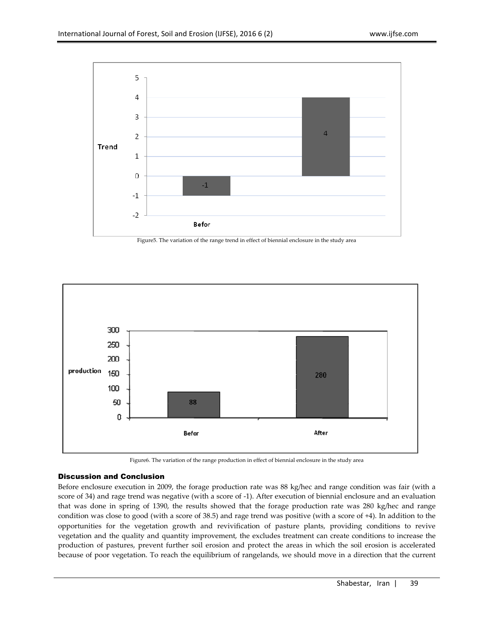

Figure5. The variation of the range trend in effect of biennial enclosure in the study area



Figure6. The variation of the range production in effect of biennial enclosure in the study area

# Discussion and Conclusion

Before enclosure execution in 2009, the forage production rate was 88 kg/hec and range condition was fair (with a score of 34) and rage trend was negative (with a score of -1). After execution of biennial enclosure and an evaluation that was done in spring of 1390, the results showed that the forage production rate was 280 kg/hec and range condition was close to good (with a score of 38.5) and rage trend was positive (with a score of +4). In addition to the opportunities for the vegetation growth and revivification of pasture plants, providing conditions to revive vegetation and the quality and quantity improvement, the excludes treatment can create conditions to increase the production of pastures, prevent further soil erosion and protect the areas in which the soil erosion is accelerated because of poor vegetation. To reach the equilibrium of rangelands, we should move in a direction that the current